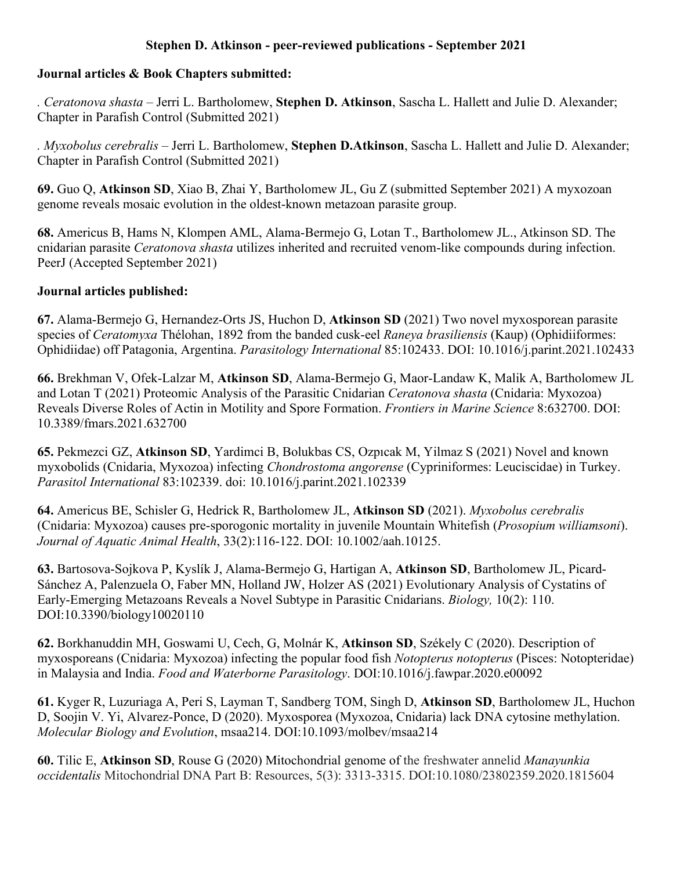# **Stephen D. Atkinson - peer-reviewed publications - September 2021**

#### **Journal articles & Book Chapters submitted:**

*. Ceratonova shasta* – Jerri L. Bartholomew, **Stephen D. Atkinson**, Sascha L. Hallett and Julie D. Alexander; Chapter in Parafish Control (Submitted 2021)

*. Myxobolus cerebralis* – Jerri L. Bartholomew, **Stephen D.Atkinson**, Sascha L. Hallett and Julie D. Alexander; Chapter in Parafish Control (Submitted 2021)

**69.** Guo Q, **Atkinson SD**, Xiao B, Zhai Y, Bartholomew JL, Gu Z (submitted September 2021) A myxozoan genome reveals mosaic evolution in the oldest-known metazoan parasite group.

**68.** Americus B, Hams N, Klompen AML, Alama-Bermejo G, Lotan T., Bartholomew JL., Atkinson SD. The cnidarian parasite *Ceratonova shasta* utilizes inherited and recruited venom-like compounds during infection. PeerJ (Accepted September 2021)

# **Journal articles published:**

**67.** Alama-Bermejo G, Hernandez-Orts JS, Huchon D, **Atkinson SD** (2021) Two novel myxosporean parasite species of *Ceratomyxa* Thélohan, 1892 from the banded cusk-eel *Raneya brasiliensis* (Kaup) (Ophidiiformes: Ophidiidae) off Patagonia, Argentina. *Parasitology International* 85:102433. DOI: 10.1016/j.parint.2021.102433

**66.** Brekhman V, Ofek-Lalzar M, **Atkinson SD**, Alama-Bermejo G, Maor-Landaw K, Malik A, Bartholomew JL and Lotan T (2021) Proteomic Analysis of the Parasitic Cnidarian *Ceratonova shasta* (Cnidaria: Myxozoa) Reveals Diverse Roles of Actin in Motility and Spore Formation. *Frontiers in Marine Science* 8:632700. DOI: 10.3389/fmars.2021.632700

**65.** Pekmezci GZ, **Atkinson SD**, Yardimci B, Bolukbas CS, Ozpıcak M, Yilmaz S (2021) Novel and known myxobolids (Cnidaria, Myxozoa) infecting *Chondrostoma angorense* (Cypriniformes: Leuciscidae) in Turkey. *Parasitol International* 83:102339. doi: 10.1016/j.parint.2021.102339

**64.** Americus BE, Schisler G, Hedrick R, Bartholomew JL, **Atkinson SD** (2021). *Myxobolus cerebralis* (Cnidaria: Myxozoa) causes pre-sporogonic mortality in juvenile Mountain Whitefish (*Prosopium williamsoni*). *Journal of Aquatic Animal Health*, 33(2):116-122. DOI: 10.1002/aah.10125.

**63.** Bartosova-Sojkova P, Kyslík J, Alama-Bermejo G, Hartigan A, **Atkinson SD**, Bartholomew JL, Picard-Sánchez A, Palenzuela O, Faber MN, Holland JW, Holzer AS (2021) Evolutionary Analysis of Cystatins of Early-Emerging Metazoans Reveals a Novel Subtype in Parasitic Cnidarians. *Biology,* 10(2): 110. DOI:10.3390/biology10020110

**62.** Borkhanuddin MH, Goswami U, Cech, G, Molnár K, **Atkinson SD**, Székely C (2020). Description of myxosporeans (Cnidaria: Myxozoa) infecting the popular food fish *Notopterus notopterus* (Pisces: Notopteridae) in Malaysia and India. *Food and Waterborne Parasitology*. DOI:10.1016/j.fawpar.2020.e00092

**61.** Kyger R, Luzuriaga A, Peri S, Layman T, Sandberg TOM, Singh D, **Atkinson SD**, Bartholomew JL, Huchon D, Soojin V. Yi, Alvarez-Ponce, D (2020). Myxosporea (Myxozoa, Cnidaria) lack DNA cytosine methylation. *Molecular Biology and Evolution*, msaa214. DOI:10.1093/molbev/msaa214

**60.** Tilic E, **Atkinson SD**, Rouse G (2020) Mitochondrial genome of the freshwater annelid *Manayunkia occidentalis* Mitochondrial DNA Part B: Resources, 5(3): 3313-3315. DOI:10.1080/23802359.2020.1815604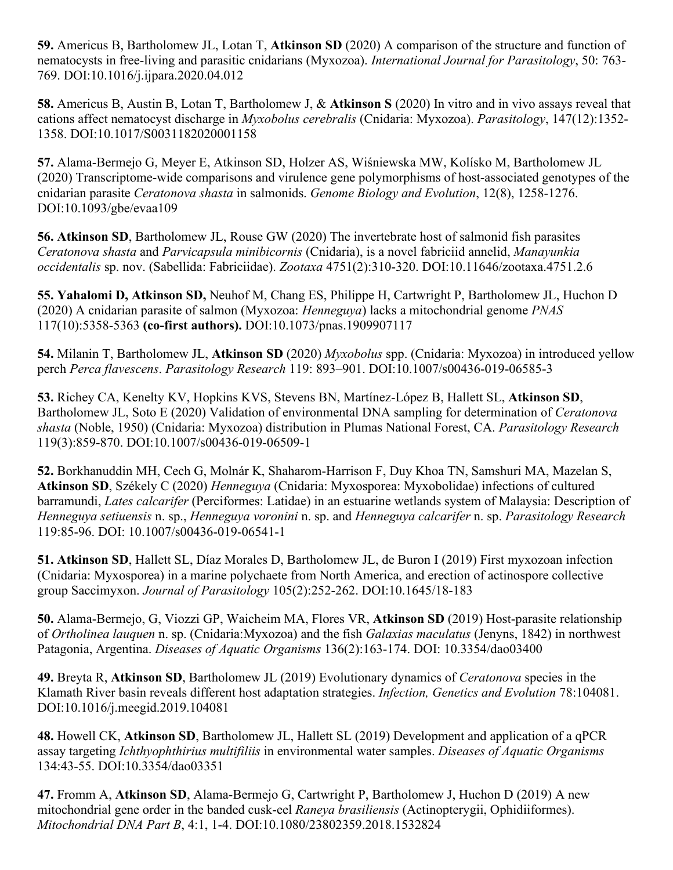**59.** Americus B, Bartholomew JL, Lotan T, **Atkinson SD** (2020) A comparison of the structure and function of nematocysts in free-living and parasitic cnidarians (Myxozoa). *International Journal for Parasitology*, 50: 763- 769. DOI:10.1016/j.ijpara.2020.04.012

**58.** Americus B, Austin B, Lotan T, Bartholomew J, & **Atkinson S** (2020) In vitro and in vivo assays reveal that cations affect nematocyst discharge in *Myxobolus cerebralis* (Cnidaria: Myxozoa). *Parasitology*, 147(12):1352- 1358. DOI:10.1017/S0031182020001158

**57.** Alama-Bermejo G, Meyer E, Atkinson SD, Holzer AS, Wiśniewska MW, Kolísko M, Bartholomew JL (2020) Transcriptome-wide comparisons and virulence gene polymorphisms of host-associated genotypes of the cnidarian parasite *Ceratonova shasta* in salmonids. *Genome Biology and Evolution*, 12(8), 1258-1276. DOI:10.1093/gbe/evaa109

**56. Atkinson SD**, Bartholomew JL, Rouse GW (2020) The invertebrate host of salmonid fish parasites *Ceratonova shasta* and *Parvicapsula minibicornis* (Cnidaria), is a novel fabriciid annelid, *Manayunkia occidentalis* sp. nov. (Sabellida: Fabriciidae). *Zootaxa* 4751(2):310-320. DOI:10.11646/zootaxa.4751.2.6

**55. Yahalomi D, Atkinson SD,** Neuhof M, Chang ES, Philippe H, Cartwright P, Bartholomew JL, Huchon D (2020) A cnidarian parasite of salmon (Myxozoa: *Henneguya*) lacks a mitochondrial genome *PNAS* 117(10):5358-5363 **(co-first authors).** DOI:10.1073/pnas.1909907117

**54.** Milanin T, Bartholomew JL, **Atkinson SD** (2020) *Myxobolus* spp. (Cnidaria: Myxozoa) in introduced yellow perch *Perca flavescens*. *Parasitology Research* 119: 893–901. DOI:10.1007/s00436-019-06585-3

**53.** Richey CA, Kenelty KV, Hopkins KVS, Stevens BN, Martínez-López B, Hallett SL, **Atkinson SD**, Bartholomew JL, Soto E (2020) Validation of environmental DNA sampling for determination of *Ceratonova shasta* (Noble, 1950) (Cnidaria: Myxozoa) distribution in Plumas National Forest, CA. *Parasitology Research*  119(3):859-870. DOI:10.1007/s00436-019-06509-1

**52.** Borkhanuddin MH, Cech G, Molnár K, Shaharom-Harrison F, Duy Khoa TN, Samshuri MA, Mazelan S, **Atkinson SD**, Székely C (2020) *Henneguya* (Cnidaria: Myxosporea: Myxobolidae) infections of cultured barramundi, *Lates calcarifer* (Perciformes: Latidae) in an estuarine wetlands system of Malaysia: Description of *Henneguya setiuensis* n. sp., *Henneguya voronini* n. sp. and *Henneguya calcarifer* n. sp. *Parasitology Research* 119:85-96. DOI: 10.1007/s00436-019-06541-1

**51. Atkinson SD**, Hallett SL, Díaz Morales D, Bartholomew JL, de Buron I (2019) First myxozoan infection (Cnidaria: Myxosporea) in a marine polychaete from North America, and erection of actinospore collective group Saccimyxon. *Journal of Parasitology* 105(2):252-262. DOI:10.1645/18-183

**50.** Alama-Bermejo, G, Viozzi GP, Waicheim MA, Flores VR, **Atkinson SD** (2019) Host-parasite relationship of *Ortholinea lauquen* n. sp. (Cnidaria:Myxozoa) and the fish *Galaxias maculatus* (Jenyns, 1842) in northwest Patagonia, Argentina. *Diseases of Aquatic Organisms* 136(2):163-174. DOI: 10.3354/dao03400

**49.** Breyta R, **Atkinson SD**, Bartholomew JL (2019) Evolutionary dynamics of *Ceratonova* species in the Klamath River basin reveals different host adaptation strategies. *Infection, Genetics and Evolution* 78:104081. DOI:10.1016/j.meegid.2019.104081

**48.** Howell CK, **Atkinson SD**, Bartholomew JL, Hallett SL (2019) Development and application of a qPCR assay targeting *Ichthyophthirius multifiliis* in environmental water samples. *Diseases of Aquatic Organisms* 134:43-55. DOI:10.3354/dao03351

**47.** Fromm A, **Atkinson SD**, Alama-Bermejo G, Cartwright P, Bartholomew J, Huchon D (2019) A new mitochondrial gene order in the banded cusk-eel *Raneya brasiliensis* (Actinopterygii, Ophidiiformes). *Mitochondrial DNA Part B*, 4:1, 1-4. DOI:10.1080/23802359.2018.1532824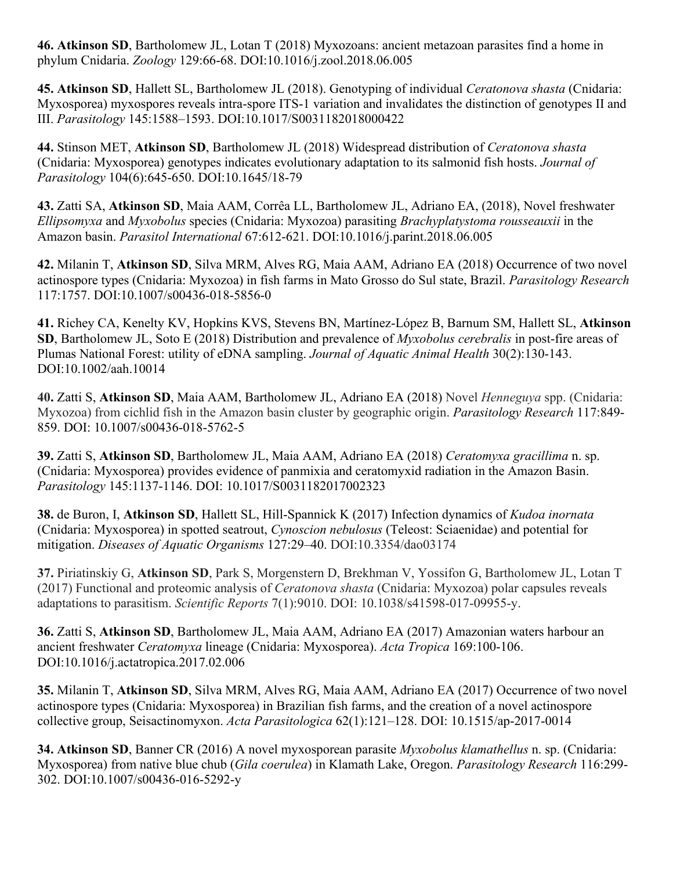**46. Atkinson SD**, Bartholomew JL, Lotan T (2018) Myxozoans: ancient metazoan parasites find a home in phylum Cnidaria. *Zoology* 129:66-68. DOI:10.1016/j.zool.2018.06.005

**45. Atkinson SD**, Hallett SL, Bartholomew JL (2018). Genotyping of individual *Ceratonova shasta* (Cnidaria: Myxosporea) myxospores reveals intra-spore ITS-1 variation and invalidates the distinction of genotypes II and III. *Parasitology* 145:1588–1593. DOI:10.1017/S0031182018000422

**44.** Stinson MET, **Atkinson SD**, Bartholomew JL (2018) Widespread distribution of *Ceratonova shasta* (Cnidaria: Myxosporea) genotypes indicates evolutionary adaptation to its salmonid fish hosts. *Journal of Parasitology* 104(6):645-650. DOI:10.1645/18-79

**43.** Zatti SA, **Atkinson SD**, Maia AAM, Corrêa LL, Bartholomew JL, Adriano EA, (2018), Novel freshwater *Ellipsomyxa* and *Myxobolus* species (Cnidaria: Myxozoa) parasiting *Brachyplatystoma rousseauxii* in the Amazon basin. *Parasitol International* 67:612-621. DOI:10.1016/j.parint.2018.06.005

**42.** Milanin T, **Atkinson SD**, Silva MRM, Alves RG, Maia AAM, Adriano EA (2018) Occurrence of two novel actinospore types (Cnidaria: Myxozoa) in fish farms in Mato Grosso do Sul state, Brazil. *Parasitology Research* 117:1757. DOI:10.1007/s00436-018-5856-0

**41.** Richey CA, Kenelty KV, Hopkins KVS, Stevens BN, Martínez-López B, Barnum SM, Hallett SL, **Atkinson SD**, Bartholomew JL, Soto E (2018) Distribution and prevalence of *Myxobolus cerebralis* in post-fire areas of Plumas National Forest: utility of eDNA sampling. *Journal of Aquatic Animal Health* 30(2):130-143. DOI:10.1002/aah.10014

**40.** Zatti S, **Atkinson SD**, Maia AAM, Bartholomew JL, Adriano EA (2018) Novel *Henneguya* spp. (Cnidaria: Myxozoa) from cichlid fish in the Amazon basin cluster by geographic origin. *Parasitology Research* 117:849- 859. DOI: 10.1007/s00436-018-5762-5

**39.** Zatti S, **Atkinson SD**, Bartholomew JL, Maia AAM, Adriano EA (2018) *Ceratomyxa gracillima* n. sp. (Cnidaria: Myxosporea) provides evidence of panmixia and ceratomyxid radiation in the Amazon Basin. *Parasitology* 145:1137-1146. DOI: 10.1017/S0031182017002323

**38.** de Buron, I, **Atkinson SD**, Hallett SL, Hill-Spannick K (2017) Infection dynamics of *Kudoa inornata* (Cnidaria: Myxosporea) in spotted seatrout, *Cynoscion nebulosus* (Teleost: Sciaenidae) and potential for mitigation. *Diseases of Aquatic Organisms* 127:29–40. DOI:10.3354/dao03174

**37.** Piriatinskiy G, **Atkinson SD**, Park S, Morgenstern D, Brekhman V, Yossifon G, Bartholomew JL, Lotan T (2017) Functional and proteomic analysis of *Ceratonova shasta* (Cnidaria: Myxozoa) polar capsules reveals adaptations to parasitism. *Scientific Reports* 7(1):9010. DOI: 10.1038/s41598-017-09955-y.

**36.** Zatti S, **Atkinson SD**, Bartholomew JL, Maia AAM, Adriano EA (2017) Amazonian waters harbour an ancient freshwater *Ceratomyxa* lineage (Cnidaria: Myxosporea). *Acta Tropica* 169:100-106. DOI:10.1016/j.actatropica.2017.02.006

**35.** Milanin T, **Atkinson SD**, Silva MRM, Alves RG, Maia AAM, Adriano EA (2017) Occurrence of two novel actinospore types (Cnidaria: Myxosporea) in Brazilian fish farms, and the creation of a novel actinospore collective group, Seisactinomyxon. *Acta Parasitologica* 62(1):121–128. DOI: 10.1515/ap-2017-0014

**34. Atkinson SD**, Banner CR (2016) A novel myxosporean parasite *Myxobolus klamathellus* n. sp. (Cnidaria: Myxosporea) from native blue chub (*Gila coerulea*) in Klamath Lake, Oregon. *Parasitology Research* 116:299- 302. DOI:10.1007/s00436-016-5292-y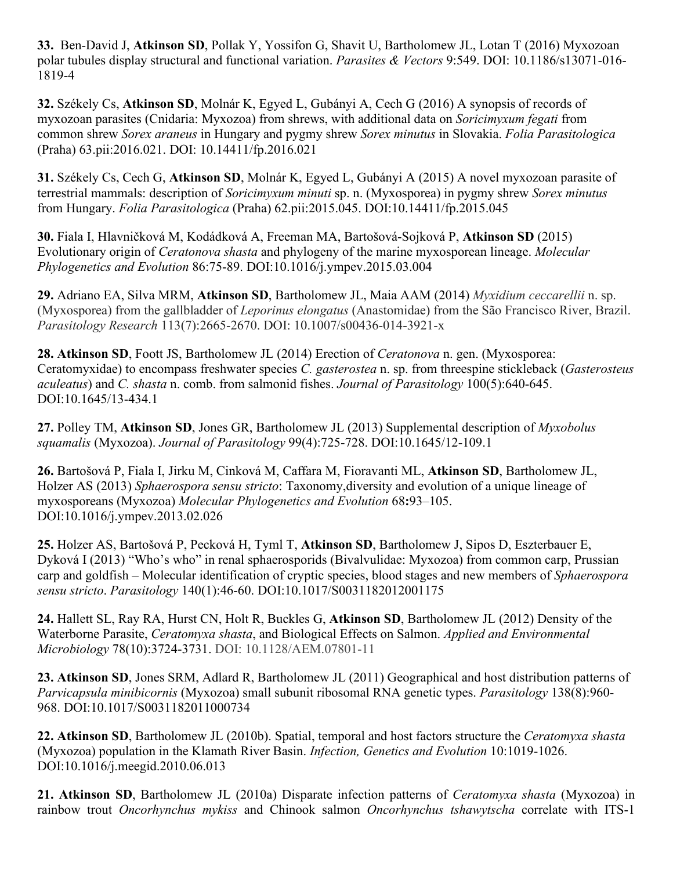**33.** Ben-David J, **Atkinson SD**, Pollak Y, Yossifon G, Shavit U, Bartholomew JL, Lotan T (2016) Myxozoan polar tubules display structural and functional variation. *Parasites & Vectors* 9:549. DOI: 10.1186/s13071-016- 1819-4

**32.** Székely Cs, **Atkinson SD**, Molnár K, Egyed L, Gubányi A, Cech G (2016) A synopsis of records of myxozoan parasites (Cnidaria: Myxozoa) from shrews, with additional data on *Soricimyxum fegati* from common shrew *Sorex araneus* in Hungary and pygmy shrew *Sorex minutus* in Slovakia. *Folia Parasitologica* (Praha) 63.pii:2016.021. DOI: 10.14411/fp.2016.021

**31.** Székely Cs, Cech G, **Atkinson SD**, Molnár K, Egyed L, Gubányi A (2015) A novel myxozoan parasite of terrestrial mammals: description of *Soricimyxum minuti* sp. n. (Myxosporea) in pygmy shrew *Sorex minutus* from Hungary. *Folia Parasitologica* (Praha) 62.pii:2015.045. DOI:10.14411/fp.2015.045

**30.** Fiala I, Hlavničková M, Kodádková A, Freeman MA, Bartošová-Sojková P, **Atkinson SD** (2015) Evolutionary origin of *Ceratonova shasta* and phylogeny of the marine myxosporean lineage. *Molecular Phylogenetics and Evolution* 86:75-89. DOI:10.1016/j.ympev.2015.03.004

**29.** Adriano EA, Silva MRM, **Atkinson SD**, Bartholomew JL, Maia AAM (2014) *Myxidium ceccarellii* n. sp. (Myxosporea) from the gallbladder of *Leporinus elongatus* (Anastomidae) from the São Francisco River, Brazil. *Parasitology Research* 113(7):2665-2670. DOI: 10.1007/s00436-014-3921-x

**28. Atkinson SD**, Foott JS, Bartholomew JL (2014) Erection of *Ceratonova* n. gen. (Myxosporea: Ceratomyxidae) to encompass freshwater species *C. gasterostea* n. sp. from threespine stickleback (*Gasterosteus aculeatus*) and *C. shasta* n. comb. from salmonid fishes. *Journal of Parasitology* 100(5):640-645. DOI:10.1645/13-434.1

**27.** Polley TM, **Atkinson SD**, Jones GR, Bartholomew JL (2013) Supplemental description of *Myxobolus squamalis* (Myxozoa). *Journal of Parasitology* 99(4):725-728. DOI:10.1645/12-109.1

**26.** Bartošová P, Fiala I, Jirku M, Cinková M, Caffara M, Fioravanti ML, **Atkinson SD**, Bartholomew JL, Holzer AS (2013) *Sphaerospora sensu stricto*: Taxonomy,diversity and evolution of a unique lineage of myxosporeans (Myxozoa) *Molecular Phylogenetics and Evolution* 68**:**93–105. DOI:10.1016/j.ympev.2013.02.026

**25.** Holzer AS, Bartošová P, Pecková H, Tyml T, **Atkinson SD**, Bartholomew J, Sipos D, Eszterbauer E, Dyková I (2013) "Who's who" in renal sphaerosporids (Bivalvulidae: Myxozoa) from common carp, Prussian carp and goldfish – Molecular identification of cryptic species, blood stages and new members of *Sphaerospora sensu stricto*. *Parasitology* 140(1):46-60. DOI:10.1017/S0031182012001175

**24.** Hallett SL, Ray RA, Hurst CN, Holt R, Buckles G, **Atkinson SD**, Bartholomew JL (2012) Density of the Waterborne Parasite, *Ceratomyxa shasta*, and Biological Effects on Salmon. *Applied and Environmental Microbiology* 78(10):3724-3731. DOI: 10.1128/AEM.07801-11

**23. Atkinson SD**, Jones SRM, Adlard R, Bartholomew JL (2011) Geographical and host distribution patterns of *Parvicapsula minibicornis* (Myxozoa) small subunit ribosomal RNA genetic types. *Parasitology* 138(8):960- 968. DOI:10.1017/S0031182011000734

**22. Atkinson SD**, Bartholomew JL (2010b). Spatial, temporal and host factors structure the *Ceratomyxa shasta* (Myxozoa) population in the Klamath River Basin. *Infection, Genetics and Evolution* 10:1019-1026. DOI:10.1016/j.meegid.2010.06.013

**21. Atkinson SD**, Bartholomew JL (2010a) Disparate infection patterns of *Ceratomyxa shasta* (Myxozoa) in rainbow trout *Oncorhynchus mykiss* and Chinook salmon *Oncorhynchus tshawytscha* correlate with ITS-1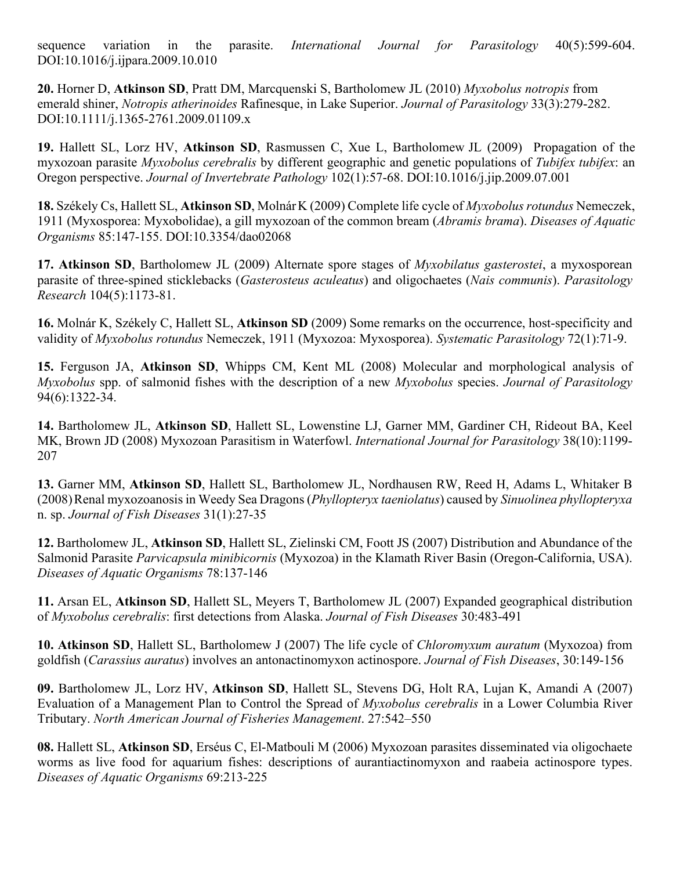sequence variation in the parasite. *International Journal for Parasitology* 40(5):599-604. DOI:10.1016/j.ijpara.2009.10.010

**20.** Horner D, **Atkinson SD**, Pratt DM, Marcquenski S, Bartholomew JL (2010) *Myxobolus notropis* from emerald shiner, *Notropis atherinoides* Rafinesque, in Lake Superior. *Journal of Parasitology* 33(3):279-282. DOI:10.1111/j.1365-2761.2009.01109.x

**19.** Hallett SL, Lorz HV, **Atkinson SD**, Rasmussen C, Xue L, Bartholomew JL (2009) Propagation of the myxozoan parasite *Myxobolus cerebralis* by different geographic and genetic populations of *Tubifex tubifex*: an Oregon perspective. *Journal of Invertebrate Pathology* 102(1):57-68. DOI:10.1016/j.jip.2009.07.001

**18.** Székely Cs, Hallett SL, **Atkinson SD**, MolnárK (2009) Complete life cycle of *Myxobolus rotundus* Nemeczek, 1911 (Myxosporea: Myxobolidae), a gill myxozoan of the common bream (*Abramis brama*). *Diseases of Aquatic Organisms* 85:147-155. DOI:10.3354/dao02068

**17. Atkinson SD**, Bartholomew JL (2009) Alternate spore stages of *Myxobilatus gasterostei*, a myxosporean parasite of three-spined sticklebacks (*Gasterosteus aculeatus*) and oligochaetes (*Nais communis*). *Parasitology Research* 104(5):1173-81.

**16.** Molnár K, Székely C, Hallett SL, **Atkinson SD** (2009) Some remarks on the occurrence, host-specificity and validity of *Myxobolus rotundus* Nemeczek, 1911 (Myxozoa: Myxosporea). *Systematic Parasitology* 72(1):71-9.

**15.** Ferguson JA, **Atkinson SD**, Whipps CM, Kent ML (2008) Molecular and morphological analysis of *Myxobolus* spp. of salmonid fishes with the description of a new *Myxobolus* species. *Journal of Parasitology* 94(6):1322-34.

**14.** Bartholomew JL, **Atkinson SD**, Hallett SL, Lowenstine LJ, Garner MM, Gardiner CH, Rideout BA, Keel MK, Brown JD (2008) Myxozoan Parasitism in Waterfowl. *International Journal for Parasitology* 38(10):1199- 207

**13.** Garner MM, **Atkinson SD**, Hallett SL, Bartholomew JL, Nordhausen RW, Reed H, Adams L, Whitaker B (2008)Renal myxozoanosis in Weedy Sea Dragons (*Phyllopteryx taeniolatus*) caused by *Sinuolinea phyllopteryxa* n. sp. *Journal of Fish Diseases* 31(1):27-35

**12.** Bartholomew JL, **Atkinson SD**, Hallett SL, Zielinski CM, Foott JS (2007) Distribution and Abundance of the Salmonid Parasite *Parvicapsula minibicornis* (Myxozoa) in the Klamath River Basin (Oregon-California, USA). *Diseases of Aquatic Organisms* 78:137-146

**11.** Arsan EL, **Atkinson SD**, Hallett SL, Meyers T, Bartholomew JL (2007) Expanded geographical distribution of *Myxobolus cerebralis*: first detections from Alaska. *Journal of Fish Diseases* 30:483-491

**10. Atkinson SD**, Hallett SL, Bartholomew J (2007) The life cycle of *Chloromyxum auratum* (Myxozoa) from goldfish (*Carassius auratus*) involves an antonactinomyxon actinospore. *Journal of Fish Diseases*, 30:149-156

**09.** Bartholomew JL, Lorz HV, **Atkinson SD**, Hallett SL, Stevens DG, Holt RA, Lujan K, Amandi A (2007) Evaluation of a Management Plan to Control the Spread of *Myxobolus cerebralis* in a Lower Columbia River Tributary. *North American Journal of Fisheries Management*. 27:542–550

**08.** Hallett SL, **Atkinson SD**, Erséus C, El-Matbouli M (2006) Myxozoan parasites disseminated via oligochaete worms as live food for aquarium fishes: descriptions of aurantiactinomyxon and raabeia actinospore types. *Diseases of Aquatic Organisms* 69:213-225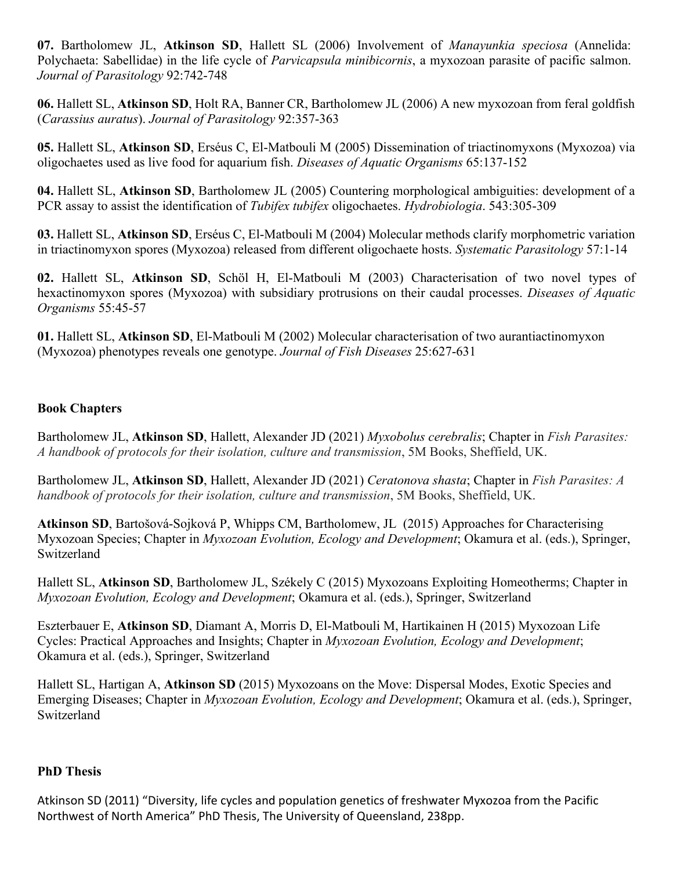**07.** Bartholomew JL, **Atkinson SD**, Hallett SL (2006) Involvement of *Manayunkia speciosa* (Annelida: Polychaeta: Sabellidae) in the life cycle of *Parvicapsula minibicornis*, a myxozoan parasite of pacific salmon. *Journal of Parasitology* 92:742-748

**06.** Hallett SL, **Atkinson SD**, Holt RA, Banner CR, Bartholomew JL (2006) A new myxozoan from feral goldfish (*Carassius auratus*). *Journal of Parasitology* 92:357-363

**05.** Hallett SL, **Atkinson SD**, Erséus C, El-Matbouli M (2005) Dissemination of triactinomyxons (Myxozoa) via oligochaetes used as live food for aquarium fish. *Diseases of Aquatic Organisms* 65:137-152

**04.** Hallett SL, **Atkinson SD**, Bartholomew JL (2005) Countering morphological ambiguities: development of a PCR assay to assist the identification of *Tubifex tubifex* oligochaetes. *Hydrobiologia*. 543:305-309

**03.** Hallett SL, **Atkinson SD**, Erséus C, El-Matbouli M (2004) Molecular methods clarify morphometric variation in triactinomyxon spores (Myxozoa) released from different oligochaete hosts. *Systematic Parasitology* 57:1-14

**02.** Hallett SL, **Atkinson SD**, Schöl H, El-Matbouli M (2003) Characterisation of two novel types of hexactinomyxon spores (Myxozoa) with subsidiary protrusions on their caudal processes. *Diseases of Aquatic Organisms* 55:45-57

**01.** Hallett SL, **Atkinson SD**, El-Matbouli M (2002) Molecular characterisation of two aurantiactinomyxon (Myxozoa) phenotypes reveals one genotype. *Journal of Fish Diseases* 25:627-631

# **Book Chapters**

Bartholomew JL, **Atkinson SD**, Hallett, Alexander JD (2021) *Myxobolus cerebralis*; Chapter in *Fish Parasites: A handbook of protocols for their isolation, culture and transmission*, 5M Books, Sheffield, UK.

Bartholomew JL, **Atkinson SD**, Hallett, Alexander JD (2021) *Ceratonova shasta*; Chapter in *Fish Parasites: A handbook of protocols for their isolation, culture and transmission*, 5M Books, Sheffield, UK.

**Atkinson SD**, Bartošová-Sojková P, Whipps CM, Bartholomew, JL (2015) Approaches for Characterising Myxozoan Species; Chapter in *Myxozoan Evolution, Ecology and Development*; Okamura et al. (eds.), Springer, Switzerland

Hallett SL, **Atkinson SD**, Bartholomew JL, Székely C (2015) Myxozoans Exploiting Homeotherms; Chapter in *Myxozoan Evolution, Ecology and Development*; Okamura et al. (eds.), Springer, Switzerland

Eszterbauer E, **Atkinson SD**, Diamant A, Morris D, El-Matbouli M, Hartikainen H (2015) Myxozoan Life Cycles: Practical Approaches and Insights; Chapter in *Myxozoan Evolution, Ecology and Development*; Okamura et al. (eds.), Springer, Switzerland

Hallett SL, Hartigan A, **Atkinson SD** (2015) Myxozoans on the Move: Dispersal Modes, Exotic Species and Emerging Diseases; Chapter in *Myxozoan Evolution, Ecology and Development*; Okamura et al. (eds.), Springer, Switzerland

# **PhD Thesis**

Atkinson SD (2011) "Diversity, life cycles and population genetics of freshwater Myxozoa from the Pacific Northwest of North America" PhD Thesis, The University of Queensland, 238pp.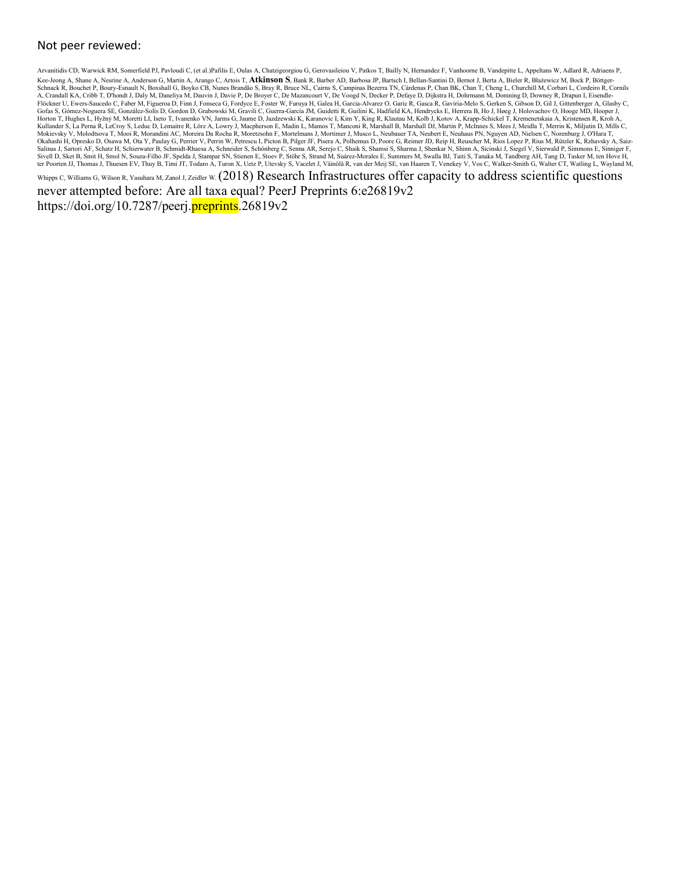#### Not peer reviewed:

Arvanitidis CD, Warwick RM, Somerfield PJ, Pavloudi C, (et al.)Pafilis E, Oulas A, Chatzigeorgiou G, Gerovasileiou V, Patkos T, Bailly N, Hernandez F, Vanhoorne B, Vandepitte L, Appeltans W, Adlard R, Adriaens P, Kee-Jeong A, Shane A, Nesrine A, Anderson G, Martin A, Arango C, Artois T, Atkinson S, Bank R, Barber AD, Barbosa JP, Bartsch I, Bellan-Santini D, Bernot J, Berta A, Bieler R, Błażewicz M, Bock P, Böttger-Schnack R, Bouchet P, Boury-Esnault N, Boxshall G, Boyko CB, Nunes Brandão S, Bray R, Bruce NL, Carins S, Campinas Bezerra TN, Cárdenas P, Chan BK, Chan T, Cheng L, Churchill M, Corbari L, Cordeiro R, Cornils<br>A, Crandall K Flöckner U, Ewers-Saucedo C, Faber M, Figueroa D, Finn J, Fonseca G, Fordyce E, Foster W, Furuya H, Galea H, Garca-Alvarez O, Garic R, Gasca R, Gaviria-Melo S, Gerken S, Gibson D, Gil J, Gittenberger A, Glasby C,<br>Gofas S, Horton T, Hughes L, Hyžný M, Moretti LI, Iseto T, Ivanenko VN, Jarms G, Jaume D, Jazdzewski K, Karanovic I, Kim Y, King R, Klautau M, Kolb J, Kotov A, Krapp-Schickel T, Kremenetskaia A, Kristensen R, Kroh A,<br>Kullander S, L Okahashi H, Opresko D, Osawa M, Ota Y, Paulay G, Perrier V, Perrin W, Petrescu I, Picton B, Picton B, Pilger JF, Pisera A, Polhemus D, Poore G, Reimer JD, Reip H, Reuscher M, Rios Lopez P, Rius M, Rützler K, Rzhavsky A, Sa Sivell D, Sket B, Smit H, Smol N, Souza-Filho JF, Spelda J, Stampar SN, Stienen E, Stoev P, Stöhr S, Strand M, Suárez-Morales E, Summers M, Swalla BJ, Taiti S, Tanaka M, Tandberg AH, Tang D, Tasker M, ten Hove H,<br>ter Poort

Whipps C, Williams G, Wilson R, Yasuhara M, Zanol J, Zeidler W. (2018) Research Infrastructures offer capacity to address scientific questions

never attempted before: Are all taxa equal? PeerJ Preprints 6:e26819v2 https://doi.org/10.7287/peerj.**preprints.**26819v2